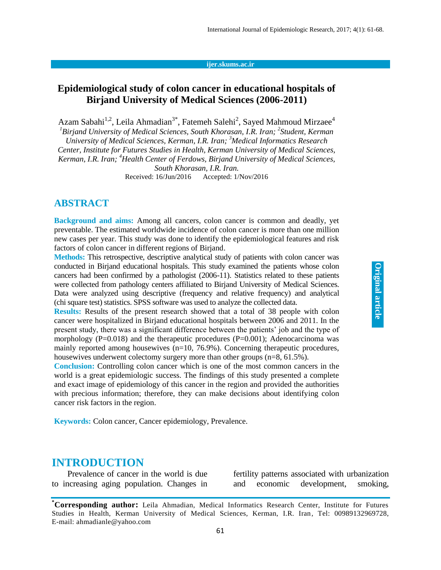#### **ijer.skums.ac.ir**

## **Epidemiological study of colon cancer in educational hospitals of Birjand University of Medical Sciences (2006-2011)**

[Azam Sabahi](http://ijer.skums.ac.ir/?_action=article&au=96049&_au=Azam++Sabahi)<sup>[1,](http://ijer.skums.ac.ir/?_action=article&au=96049&_au=Azam++Sabahi)2</sup>, [Leila Ahmadian](http://ijer.skums.ac.ir/?_action=article&au=106900&_au=Leila++Ahmadian)<sup>[3\\*](http://ijer.skums.ac.ir/?_action=article&au=106900&_au=Leila++Ahmadian)</sup>, [Fatemeh Salehi](http://ijer.skums.ac.ir/?_action=article&au=106893&_au=Fatemeh++Salehi)<sup>[2](http://ijer.skums.ac.ir/?_action=article&au=106893&_au=Fatemeh++Salehi)</sup>, [Sayed Mahmoud Mirzaee](http://ijer.skums.ac.ir/?_action=article&au=149406&_au=Sayed+Mahmoud++Mirzaee)<sup>[4](http://ijer.skums.ac.ir/?_action=article&au=149406&_au=Sayed+Mahmoud++Mirzaee)</sup>

<sup>1</sup> Birjand University of Medical Sciences, South Khorasan, I.R. Iran; <sup>2</sup> Student, Kerman *University of Medical Sciences, Kerman, I.R. Iran; <sup>3</sup>Medical Informatics Research Center, Institute for Futures Studies in Health, Kerman University of Medical Sciences, Kerman, I.R. Iran; <sup>4</sup>Health Center of Ferdows, Birjand University of Medical Sciences,* 

*South Khorasan, I.R. Iran.*

Received: 16/Jun/2016 Accepted: 1/Nov/2016

#### **ABSTRACT**

**Background and aims:** Among all cancers, colon cancer is common and deadly, yet preventable. The estimated worldwide incidence of colon cancer is more than one million new cases per year. This study was done to identify the epidemiological features and risk factors of colon cancer in different regions of Birjand.

**Methods:** This retrospective, descriptive analytical study of patients with colon cancer was conducted in Birjand educational hospitals. This study examined the patients whose colon cancers had been confirmed by a pathologist (2006-11). Statistics related to these patients were collected from pathology centers affiliated to Birjand University of Medical Sciences. Data were analyzed using descriptive (frequency and relative frequency) and analytical (chi square test) statistics. SPSS software was used to analyze the collected data.

**Results:** Results of the present research showed that a total of 38 people with colon cancer were hospitalized in Birjand educational hospitals between 2006 and 2011. In the present study, there was a significant difference between the patients' job and the type of morphology ( $P=0.018$ ) and the therapeutic procedures ( $P=0.001$ ); Adenocarcinoma was mainly reported among housewives  $(n=10, 76.9\%)$ . Concerning therapeutic procedures, housewives underwent colectomy surgery more than other groups (n=8, 61.5%).

**Conclusion:** Controlling colon cancer which is one of the most common cancers in the world is a great epidemiologic success. The findings of this study presented a complete and exact image of epidemiology of this cancer in the region and provided the authorities with precious information; therefore, they can make decisions about identifying colon cancer risk factors in the region.

**Keywords:** Colon cancer, Cancer epidemiology, Prevalence.

#### **INTRODUCTION**

Prevalence of cancer in the world is due to increasing aging population. Changes in fertility patterns associated with urbanization and economic development, smoking,

**<sup>\*</sup>Corresponding author:** Leila Ahmadian, Medical Informatics Research Center, Institute for Futures Studies in Health, Kerman University of Medical Sciences, Kerman, I.R. Iran, Tel: 00989132969728, E-mail: ahmadianle@yahoo.com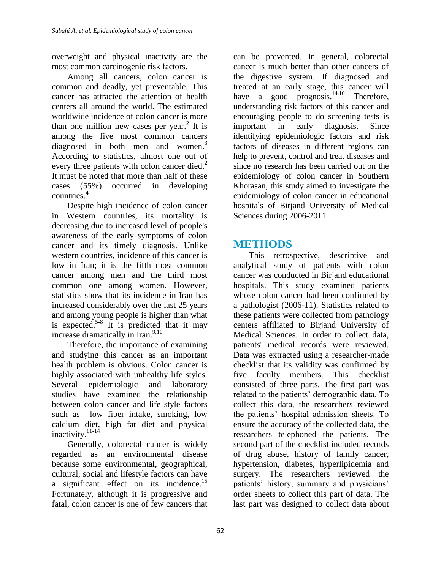overweight and physical inactivity are the most common carcinogenic risk factors. 1

Among all cancers, colon cancer is common and deadly, yet preventable. This cancer has attracted the attention of health centers all around the world. The estimated worldwide incidence of colon cancer is more than one million new cases per year.<sup>2</sup> It is among the five most common cancers diagnosed in both men and women.<sup>3</sup> According to statistics, almost one out of every three patients with colon cancer died.<sup>2</sup> It must be noted that more than half of these cases (55%) occurred in developing countries. 4

Despite high incidence of colon cancer in Western countries, its mortality is decreasing due to increased level of people's awareness of the early symptoms of colon cancer and its timely diagnosis. Unlike western countries, incidence of this cancer is low in Iran; it is the fifth most common cancer among men and the third most common one among women. However, statistics show that its incidence in Iran has increased considerably over the last 25 years and among young people is higher than what is expected.<sup>5-8</sup> It is predicted that it may increase dramatically in Iran.<sup>9,10</sup>

Therefore, the importance of examining and studying this cancer as an important health problem is obvious. Colon cancer is highly associated with unhealthy life styles. Several epidemiologic and laboratory studies have examined the relationship between colon cancer and life style factors such as low fiber intake, smoking, low calcium diet, high fat diet and physical inactivity.<sup>11-14</sup>

Generally, colorectal cancer is widely regarded as an environmental disease because some environmental, geographical, cultural, social and lifestyle factors can have a significant effect on its incidence.<sup>15</sup> Fortunately, although it is progressive and fatal, colon cancer is one of few cancers that

can be prevented. In general, colorectal cancer is much better than other cancers of the digestive system. If diagnosed and treated at an early stage, this cancer will have a good prognosis.<sup>14,16</sup> Therefore, understanding risk factors of this cancer and encouraging people to do screening tests is important in early diagnosis. Since identifying epidemiologic factors and risk factors of diseases in different regions can help to prevent, control and treat diseases and since no research has been carried out on the epidemiology of colon cancer in Southern Khorasan, this study aimed to investigate the epidemiology of colon cancer in educational hospitals of Birjand University of Medical Sciences during 2006-2011.

## **METHODS**

This retrospective, descriptive and analytical study of patients with colon cancer was conducted in Birjand educational hospitals. This study examined patients whose colon cancer had been confirmed by a pathologist (2006-11). Statistics related to these patients were collected from pathology centers affiliated to Birjand University of Medical Sciences. In order to collect data, patients' medical records were reviewed. Data was extracted using a researcher-made checklist that its validity was confirmed by five faculty members. This checklist consisted of three parts. The first part was related to the patients' demographic data. To collect this data, the researchers reviewed the patients' hospital admission sheets. To ensure the accuracy of the collected data, the researchers telephoned the patients. The second part of the checklist included records of drug abuse, history of family cancer, hypertension, diabetes, hyperlipidemia and surgery. The researchers reviewed the patients' history, summary and physicians' order sheets to collect this part of data. The last part was designed to collect data about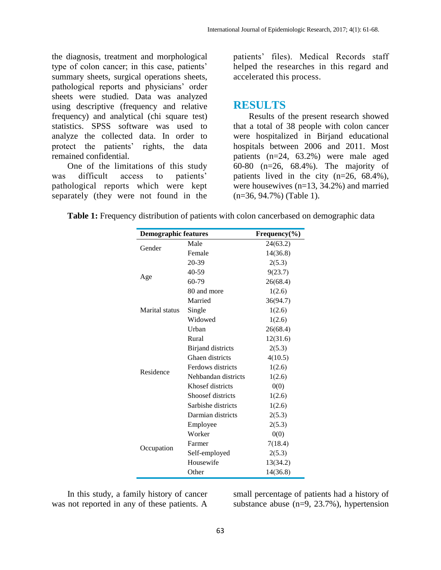the diagnosis, treatment and morphological type of colon cancer; in this case, patients' summary sheets, surgical operations sheets, pathological reports and physicians' order sheets were studied. Data was analyzed using descriptive (frequency and relative frequency) and analytical (chi square test) statistics. SPSS software was used to analyze the collected data. In order to protect the patients' rights, the data remained confidential.

One of the limitations of this study was difficult access to patients' pathological reports which were kept separately (they were not found in the

patients' files). Medical Records staff helped the researches in this regard and accelerated this process.

### **RESULTS**

Results of the present research showed that a total of 38 people with colon cancer were hospitalized in Birjand educational hospitals between 2006 and 2011. Most patients (n=24, 63.2%) were male aged 60-80 (n=26, 68.4%). The majority of patients lived in the city  $(n=26, 68.4\%)$ , were housewives (n=13, 34.2%) and married (n=36, 94.7%) (Table 1).

**Table 1:** Frequency distribution of patients with colon cancerbased on demographic data

| <b>Demographic features</b> | Frequency $(\% )$        |          |  |  |
|-----------------------------|--------------------------|----------|--|--|
| Gender                      | Male                     | 24(63.2) |  |  |
|                             | Female                   | 14(36.8) |  |  |
|                             | $20 - 39$                | 2(5.3)   |  |  |
|                             | 40-59                    | 9(23.7)  |  |  |
| Age                         | $60 - 79$                | 26(68.4) |  |  |
|                             | 80 and more              | 1(2.6)   |  |  |
|                             | Married                  | 36(94.7) |  |  |
| Marital status              | Single                   | 1(2.6)   |  |  |
|                             | Widowed                  | 1(2.6)   |  |  |
|                             | Urban                    | 26(68.4) |  |  |
|                             | Rural                    | 12(31.6) |  |  |
|                             | <b>Birjand</b> districts | 2(5.3)   |  |  |
|                             | Ghaen districts          | 4(10.5)  |  |  |
|                             | Ferdows districts        | 1(2.6)   |  |  |
| Residence                   | Nehbandan districts      | 1(2.6)   |  |  |
|                             | Khosef districts         | 0(0)     |  |  |
|                             | Shoosef districts        | 1(2.6)   |  |  |
|                             | Sarbishe districts       | 1(2.6)   |  |  |
|                             | Darmian districts        | 2(5.3)   |  |  |
| Occupation                  | Employee                 | 2(5.3)   |  |  |
|                             | Worker                   | 0(0)     |  |  |
|                             | Farmer                   | 7(18.4)  |  |  |
|                             | Self-employed            | 2(5.3)   |  |  |
|                             | Housewife                | 13(34.2) |  |  |
|                             | Other                    | 14(36.8) |  |  |

In this study, a family history of cancer was not reported in any of these patients. A

small percentage of patients had a history of substance abuse (n=9, 23.7%), hypertension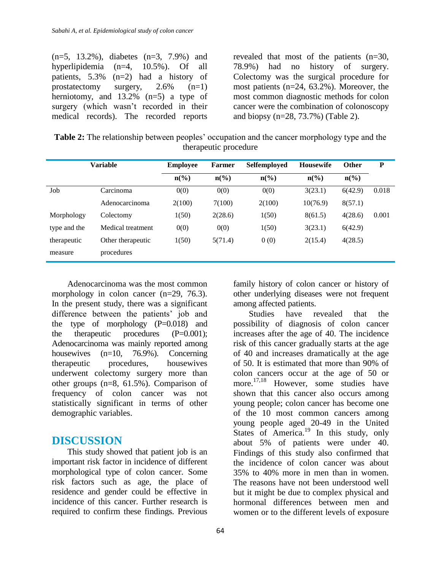| $(n=5, 13.2\%)$ , diabetes $(n=3, 7.9\%)$ and |  |  |  |
|-----------------------------------------------|--|--|--|
| hyperlipidemia $(n=4, 10.5\%)$ . Of all       |  |  |  |
| patients, $5.3\%$ (n=2) had a history of      |  |  |  |
| prostatectomy surgery, $2.6\%$ (n=1)          |  |  |  |
| herniotomy, and $13.2\%$ (n=5) a type of      |  |  |  |
| surgery (which wasn't recorded in their       |  |  |  |
| medical records). The recorded reports        |  |  |  |

revealed that most of the patients (n=30, 78.9%) had no history of surgery. Colectomy was the surgical procedure for most patients (n=24, 63.2%). Moreover, the most common diagnostic methods for colon cancer were the combination of colonoscopy and biopsy (n=28, 73.7%) (Table 2).

**Table 2:** The relationship between peoples' occupation and the cancer morphology type and the therapeutic procedure

|              | Variable          | <b>Employee</b>             | <b>Farmer</b>               | Selfemployed    | <b>Housewife</b> | Other                       | P     |
|--------------|-------------------|-----------------------------|-----------------------------|-----------------|------------------|-----------------------------|-------|
|              |                   | $n\left(\frac{6}{6}\right)$ | $n\left(\frac{0}{0}\right)$ | $n\binom{0}{0}$ | $n\binom{0}{0}$  | $n\left(\frac{0}{0}\right)$ |       |
| Job          | Carcinoma         | 0(0)                        | 0(0)                        | 0(0)            | 3(23.1)          | 6(42.9)                     | 0.018 |
|              | Adenocarcinoma    | 2(100)                      | 7(100)                      | 2(100)          | 10(76.9)         | 8(57.1)                     |       |
| Morphology   | Colectomy         | 1(50)                       | 2(28.6)                     | 1(50)           | 8(61.5)          | 4(28.6)                     | 0.001 |
| type and the | Medical treatment | 0(0)                        | 0(0)                        | 1(50)           | 3(23.1)          | 6(42.9)                     |       |
| therapeutic  | Other therapeutic | 1(50)                       | 5(71.4)                     | 0(0)            | 2(15.4)          | 4(28.5)                     |       |
| measure      | procedures        |                             |                             |                 |                  |                             |       |

Adenocarcinoma was the most common morphology in colon cancer (n=29, 76.3). In the present study, there was a significant difference between the patients' job and the type of morphology  $(P=0.018)$  and the therapeutic procedures  $(P=0.001)$ ; Adenocarcinoma was mainly reported among housewives (n=10, 76.9%). Concerning therapeutic procedures, housewives underwent colectomy surgery more than other groups (n=8, 61.5%). Comparison of frequency of colon cancer was not statistically significant in terms of other demographic variables.

### **DISCUSSION**

This study showed that patient job is an important risk factor in incidence of different morphological type of colon cancer. Some risk factors such as age, the place of residence and gender could be effective in incidence of this cancer. Further research is required to confirm these findings. Previous

family history of colon cancer or history of other underlying diseases were not frequent among affected patients.

Studies have revealed that the possibility of diagnosis of colon cancer increases after the age of 40. The incidence risk of this cancer gradually starts at the age of 40 and increases dramatically at the age of 50. It is estimated that more than 90% of colon cancers occur at the age of 50 or more. 17,18 However, some studies have shown that this cancer also occurs among young people; colon cancer has become one of the 10 most common cancers among young people aged 20-49 in the United States of America.<sup>19</sup> In this study, only about 5% of patients were under 40. Findings of this study also confirmed that the incidence of colon cancer was about 35% to 40% more in men than in women. The reasons have not been understood well but it might be due to complex physical and hormonal differences between men and women or to the different levels of exposure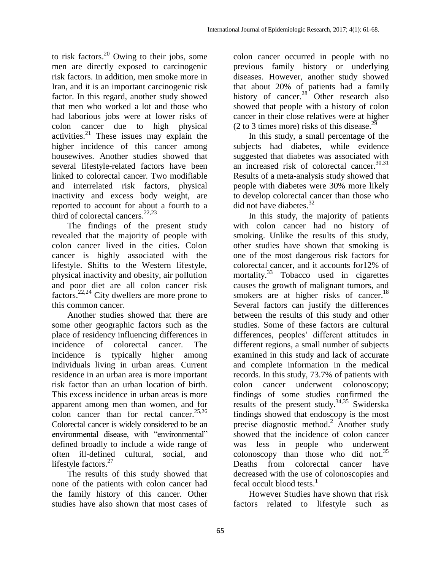to risk factors. $^{20}$  Owing to their jobs, some men are directly exposed to carcinogenic risk factors. In addition, men smoke more in Iran, and it is an important carcinogenic risk factor. In this regard, another study showed that men who worked a lot and those who had laborious jobs were at lower risks of colon cancer due to high physical activities.<sup>21</sup> These issues may explain the higher incidence of this cancer among housewives. Another studies showed that several lifestyle-related factors have been linked to colorectal cancer. Two modifiable and interrelated risk factors, physical inactivity and excess body weight, are reported to account for about a fourth to a third of colorectal cancers. 22,23

The findings of the present study revealed that the majority of people with colon cancer lived in the cities. Colon cancer is highly associated with the lifestyle. Shifts to the Western lifestyle, physical inactivity and obesity, air pollution and poor diet are all colon cancer risk factors.<sup>22,24</sup> City dwellers are more prone to this common cancer.

Another studies showed that there are some other geographic factors such as the place of residency influencing differences in incidence of colorectal cancer. The incidence is typically higher among individuals living in urban areas. Current residence in an urban area is more important risk factor than an urban location of birth. This excess incidence in urban areas is more apparent among men than women, and for colon cancer than for rectal cancer.<sup>25,26</sup> Colorectal cancer is widely considered to be an environmental disease, with "environmental" defined broadly to include a wide range of often ill-defined cultural, social, and lifestyle factors.<sup>27</sup>

The results of this study showed that none of the patients with colon cancer had the family history of this cancer. Other studies have also shown that most cases of

colon cancer occurred in people with no previous family history or underlying diseases. However, another study showed that about 20% of patients had a family history of cancer.<sup>28</sup> Other research also showed that people with a history of colon cancer in their close relatives were at higher (2 to 3 times more) risks of this disease. $^{29}$ 

In this study, a small percentage of the subjects had diabetes, while evidence suggested that diabetes was associated with an increased risk of colorectal cancer.<sup>30,31</sup> Results of a meta-analysis study showed that people with diabetes were 30% more likely to develop colorectal cancer than those who did not have diabetes. 32

In this study, the majority of patients with colon cancer had no history of smoking. Unlike the results of this study, other studies have shown that smoking is one of the most dangerous risk factors for colorectal cancer, and it accounts for12% of mortality.<sup>33</sup> Tobacco used in cigarettes causes the growth of malignant tumors, and smokers are at higher risks of cancer.<sup>18</sup> Several factors can justify the differences between the results of this study and other studies. Some of these factors are cultural differences, peoples' different attitudes in different regions, a small number of subjects examined in this study and lack of accurate and complete information in the medical records. In this study, 73.7% of patients with colon cancer underwent colonoscopy; findings of some studies confirmed the results of the present study.<sup>34,35</sup> Swiderska findings showed that endoscopy is the most precise diagnostic method.<sup>2</sup> Another study showed that the incidence of colon cancer was less in people who underwent colonoscopy than those who did not. 35 Deaths from colorectal cancer have decreased with the use of colonoscopies and fecal occult blood tests.<sup>1</sup>

However Studies have shown that risk factors related to lifestyle such as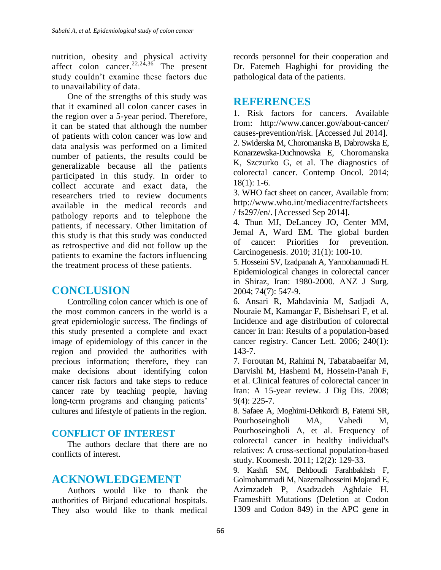nutrition, obesity and physical activity affect colon cancer.<sup>22,24,36</sup> The present study couldn't examine these factors due to unavailability of data.

One of the strengths of this study was that it examined all colon cancer cases in the region over a 5-year period. Therefore, it can be stated that although the number of patients with colon cancer was low and data analysis was performed on a limited number of patients, the results could be generalizable because all the patients participated in this study. In order to collect accurate and exact data, the researchers tried to review documents available in the medical records and pathology reports and to telephone the patients, if necessary. Other limitation of this study is that this study was conducted as retrospective and did not follow up the patients to examine the factors influencing the treatment process of these patients.

# **CONCLUSION**

Controlling colon cancer which is one of the most common cancers in the world is a great epidemiologic success. The findings of this study presented a complete and exact image of epidemiology of this cancer in the region and provided the authorities with precious information; therefore, they can make decisions about identifying colon cancer risk factors and take steps to reduce cancer rate by teaching people, having long-term programs and changing patients' cultures and lifestyle of patients in the region.

### **CONFLICT OF INTEREST**

The authors declare that there are no conflicts of interest.

# **ACKNOWLEDGEMENT**

Authors would like to thank the authorities of Birjand educational hospitals. They also would like to thank medical records personnel for their cooperation and Dr. Fatemeh Haghighi for providing the pathological data of the patients.

## **REFERENCES**

1. Risk factors for cancers. Available from: http://www.cancer.gov/about-cancer/ causes-prevention/risk. [Accessed Jul 2014]. 2. Swiderska M, Choromanska B, Dabrowska E, Konarzewska-Duchnowska E, Choromanska K, Szczurko G, et al. The diagnostics of colorectal cancer. Contemp Oncol. 2014;  $18(1): 1-6.$ 

3. WHO fact sheet on cancer, Available from: http://www.who.int/mediacentre/factsheets / fs297/en/. [Accessed Sep 2014].

4. Thun MJ, DeLancey JO, Center MM, Jemal A, Ward EM. The global burden of cancer: Priorities for prevention. Carcinogenesis. 2010; 31(1): 100-10.

5. Hosseini SV, Izadpanah A, Yarmohammadi H. Epidemiological changes in colorectal cancer in Shiraz, Iran: 1980-2000. ANZ J Surg. 2004; 74(7): 547-9.

6. Ansari R, Mahdavinia M, Sadjadi A, Nouraie M, Kamangar F, Bishehsari F, et al. Incidence and age distribution of colorectal cancer in Iran: Results of a population-based cancer registry. Cancer Lett. 2006; 240(1): 143-7.

7. Foroutan M, Rahimi N, Tabatabaeifar M, Darvishi M, Hashemi M, Hossein-Panah F, et al. Clinical features of colorectal cancer in Iran: A 15-year review. J Dig Dis. 2008; 9(4): 225-7.

8. Safaee A, Moghimi-Dehkordi B, Fatemi SR, Pourhoseingholi MA, Vahedi M, Pourhoseingholi A, et al. Frequency of colorectal cancer in healthy individual's relatives: A cross-sectional population-based study. Koomesh. 2011; 12(2): 129-33.

9. Kashfi SM, Behboudi Farahbakhsh F, Golmohammadi M, Nazemalhosseini Mojarad E, Azimzadeh P, Asadzadeh Aghdaie H. Frameshift Mutations (Deletion at Codon 1309 and Codon 849) in the APC gene in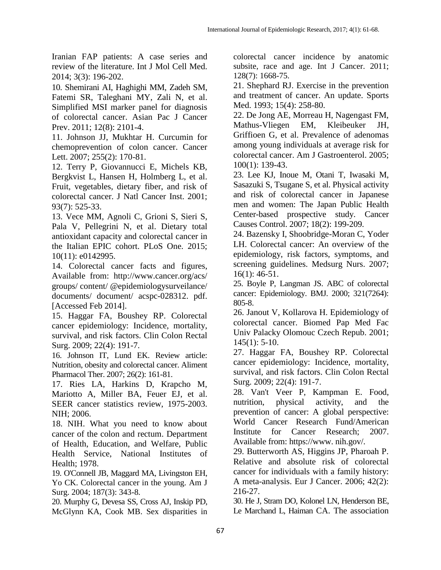Iranian FAP patients: A case series and review of the literature. Int J Mol Cell Med. 2014; 3(3): 196-202.

10. Shemirani AI, Haghighi MM, Zadeh SM, Fatemi SR, Taleghani MY, Zali N, et al. Simplified MSI marker panel for diagnosis of colorectal cancer. Asian Pac J Cancer Prev. 2011; 12(8): 2101-4.

11. Johnson JJ, Mukhtar H. Curcumin for chemoprevention of colon cancer. Cancer Lett. 2007; 255(2): 170-81.

12. Terry P, Giovannucci E, Michels KB, Bergkvist L, Hansen H, Holmberg L, et al. Fruit, vegetables, dietary fiber, and risk of colorectal cancer. J Natl Cancer Inst. 2001; 93(7): 525-33.

13. Vece MM, Agnoli C, Grioni S, Sieri S, Pala V, Pellegrini N, et al. Dietary total antioxidant capacity and colorectal cancer in the Italian EPIC cohort. PLoS One. 2015; 10(11): e0142995.

14. Colorectal cancer facts and figures, Available from: http://www.cancer.org/acs/ groups/ content/ @epidemiologysurveilance/ documents/ document/ acspc-028312. pdf. [Accessed Feb 2014].

15. Haggar FA, Boushey RP. Colorectal cancer epidemiology: Incidence, mortality, survival, and risk factors. Clin Colon Rectal Surg. 2009; 22(4): 191-7.

16. Johnson IT, Lund EK. Review article: Nutrition, obesity and colorectal cancer. Aliment Pharmacol Ther. 2007; 26(2): 161-81.

17. Ries LA, Harkins D, Krapcho M, Mariotto A, Miller BA, Feuer EJ, et al. SEER cancer statistics review, 1975-2003. NIH; 2006.

18. NIH. What you need to know about cancer of the colon and rectum. Department of Health, Education, and Welfare, Public Health Service, National Institutes of Health; 1978.

19. O'Connell JB, Maggard MA, Livingston EH, Yo CK. Colorectal cancer in the young. Am J Surg. 2004; 187(3): 343-8.

20. Murphy G, Devesa SS, Cross AJ, Inskip PD, McGlynn KA, Cook MB. Sex disparities in

colorectal cancer incidence by anatomic subsite, race and age. Int J Cancer. 2011; 128(7): 1668-75.

21. Shephard RJ. Exercise in the prevention and treatment of cancer. An update. Sports Med. 1993; 15(4): 258-80.

22. De Jong AE, Morreau H, Nagengast FM, Mathus-Vliegen EM, Kleibeuker JH, Griffioen G, et al. Prevalence of adenomas among young individuals at average risk for colorectal cancer. Am J Gastroenterol. 2005; 100(1): 139-43.

23. Lee KJ, Inoue M, Otani T, Iwasaki M, Sasazuki S, Tsugane S, et al. Physical activity and risk of colorectal cancer in Japanese men and women: The Japan Public Health Center-based prospective study. Cancer Causes Control. 2007; 18(2): 199-209.

24. Bazensky I, Shoobridge-Moran C, Yoder LH. Colorectal cancer: An overview of the epidemiology, risk factors, symptoms, and screening guidelines. Medsurg Nurs. 2007; 16(1): 46-51.

25. Boyle P, Langman JS. ABC of colorectal cancer: Epidemiology. BMJ. 2000; 321(7264): 805-8.

26. Janout V, Kollarova H. Epidemiology of colorectal cancer. Biomed Pap Med Fac Univ Palacky Olomouc Czech Repub. 2001;  $145(1)$ : 5-10.

27. Haggar FA, Boushey RP. Colorectal cancer epidemiology: Incidence, mortality, survival, and risk factors. Clin Colon Rectal Surg. 2009; 22(4): 191-7.

28. Van't Veer P, Kampman E. Food, nutrition, physical activity, and the prevention of cancer: A global perspective: World Cancer Research Fund/American Institute for Cancer Research; 2007. Available from: https://www. nih.gov/.

29. Butterworth AS, Higgins JP, Pharoah P. Relative and absolute risk of colorectal cancer for individuals with a family history: A meta-analysis. Eur J Cancer. 2006; 42(2): 216-27.

30. He J, Stram DO, Kolonel LN, Henderson BE, Le Marchand L, Haiman CA. The association